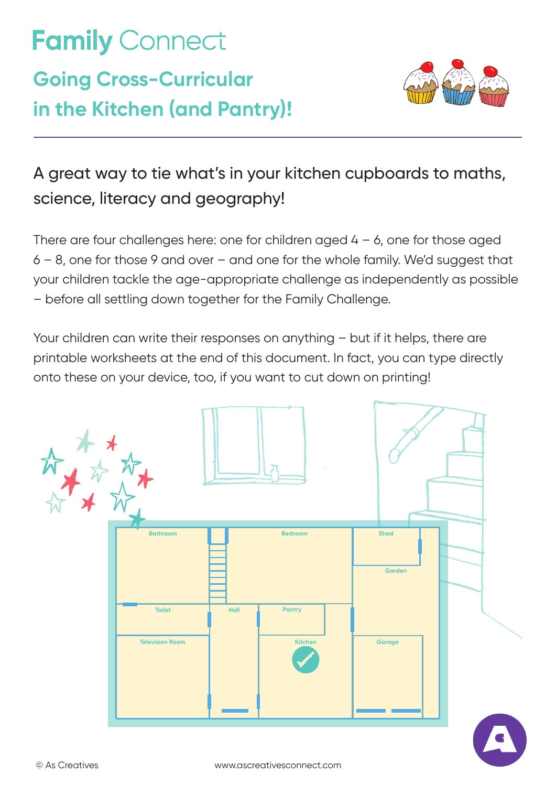# **Family Connect Going Cross-Curricular in the Kitchen (and Pantry)!**



### A great way to tie what's in your kitchen cupboards to maths, science, literacy and geography!

There are four challenges here: one for children aged  $4 - 6$ , one for those aged 6 – 8, one for those 9 and over – and one for the whole family. We'd suggest that your children tackle the age-appropriate challenge as independently as possible – before all settling down together for the Family Challenge.

Your children can write their responses on anything – but if it helps, there are printable worksheets at the end of this document. In fact, you can type directly onto these on your device, too, if you want to cut down on printing!

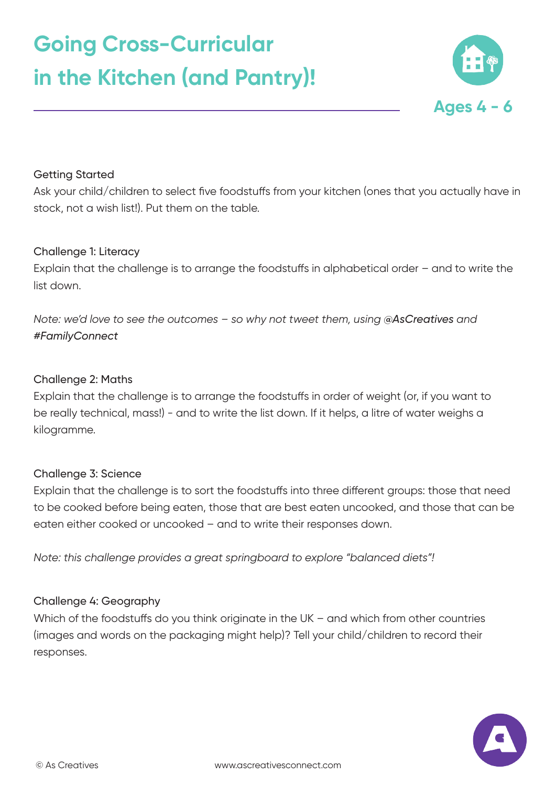

### Getting Started

Ask your child/children to select five foodstuffs from your kitchen (ones that you actually have in stock, not a wish list!). Put them on the table.

#### Challenge 1: Literacy

Explain that the challenge is to arrange the foodstuffs in alphabetical order – and to write the list down.

*Note: we'd love to see the outcomes - so why not tweet them, using @AsCreatives and #FamilyConnect*

### Challenge 2: Maths

Explain that the challenge is to arrange the foodstuffs in order of weight (or, if you want to be really technical, mass!) - and to write the list down. If it helps, a litre of water weighs a kilogramme.

#### Challenge 3: Science

Explain that the challenge is to sort the foodstuffs into three different groups: those that need to be cooked before being eaten, those that are best eaten uncooked, and those that can be eaten either cooked or uncooked – and to write their responses down.

*Note: this challenge provides a great springboard to explore "balanced diets"!*

### Challenge 4: Geography

Which of the foodstuffs do you think originate in the UK – and which from other countries (images and words on the packaging might help)? Tell your child/children to record their responses.

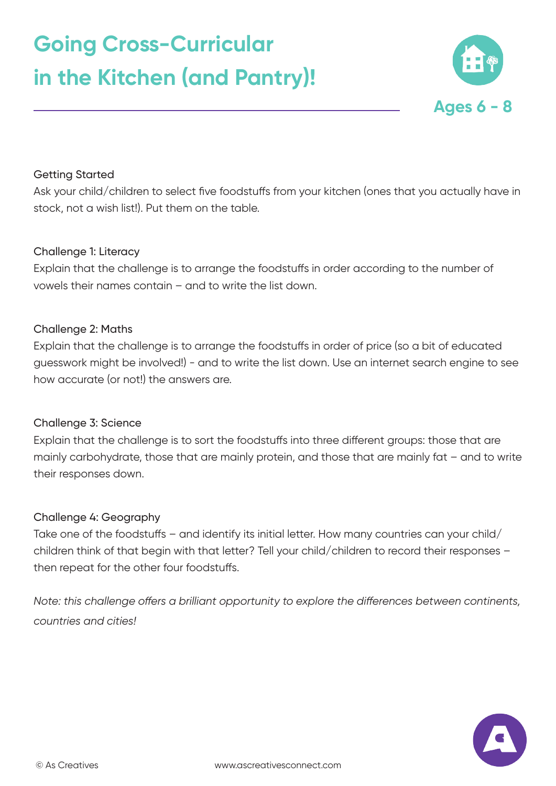

### Getting Started

Ask your child/children to select five foodstuffs from your kitchen (ones that you actually have in stock, not a wish list!). Put them on the table.

#### Challenge 1: Literacy

Explain that the challenge is to arrange the foodstuffs in order according to the number of vowels their names contain – and to write the list down.

#### Challenge 2: Maths

Explain that the challenge is to arrange the foodstuffs in order of price (so a bit of educated guesswork might be involved!) - and to write the list down. Use an internet search engine to see how accurate (or not!) the answers are.

### Challenge 3: Science

Explain that the challenge is to sort the foodstuffs into three different groups: those that are mainly carbohydrate, those that are mainly protein, and those that are mainly fat – and to write their responses down.

### Challenge 4: Geography

Take one of the foodstuffs – and identify its initial letter. How many countries can your child/ children think of that begin with that letter? Tell your child/children to record their responses – then repeat for the other four foodstuffs.

*Note: this challenge offers a brilliant opportunity to explore the differences between continents, countries and cities!*

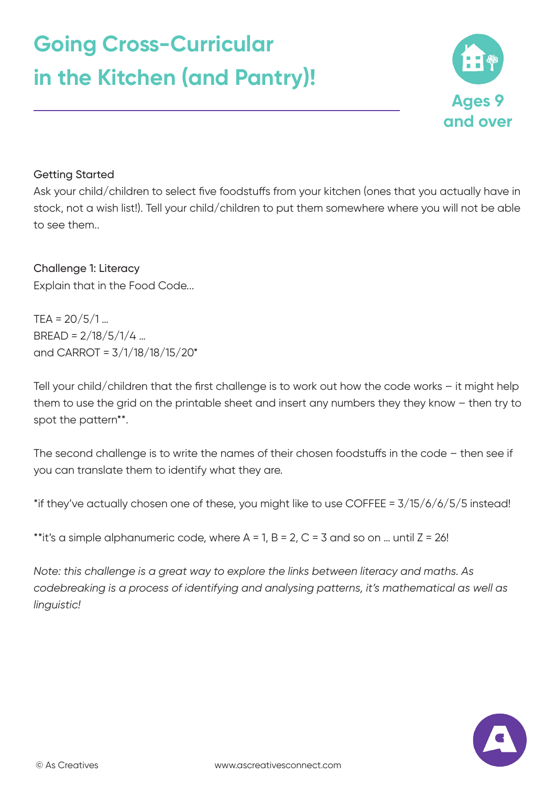

### Getting Started

Ask your child/children to select five foodstuffs from your kitchen (ones that you actually have in stock, not a wish list!). Tell your child/children to put them somewhere where you will not be able to see them..

Challenge 1: Literacy Explain that in the Food Code...

 $TEA = 20/5/1$  ...  $BREAD = 2/18/5/1/4$  ... and CARROT = 3/1/18/18/15/20\*

Tell your child/children that the first challenge is to work out how the code works – it might help them to use the grid on the printable sheet and insert any numbers they they know - then try to spot the pattern\*\*.

The second challenge is to write the names of their chosen foodstuffs in the code – then see if you can translate them to identify what they are.

\*if they've actually chosen one of these, you might like to use COFFEE =  $3/15/6/6/5/5$  instead!

\*\*it's a simple alphanumeric code, where  $A = 1$ ,  $B = 2$ ,  $C = 3$  and so on ... until  $Z = 26!$ 

*Note: this challenge is a great way to explore the links between literacy and maths. As codebreaking is a process of identifying and analysing patterns, it's mathematical as well as linguistic!*

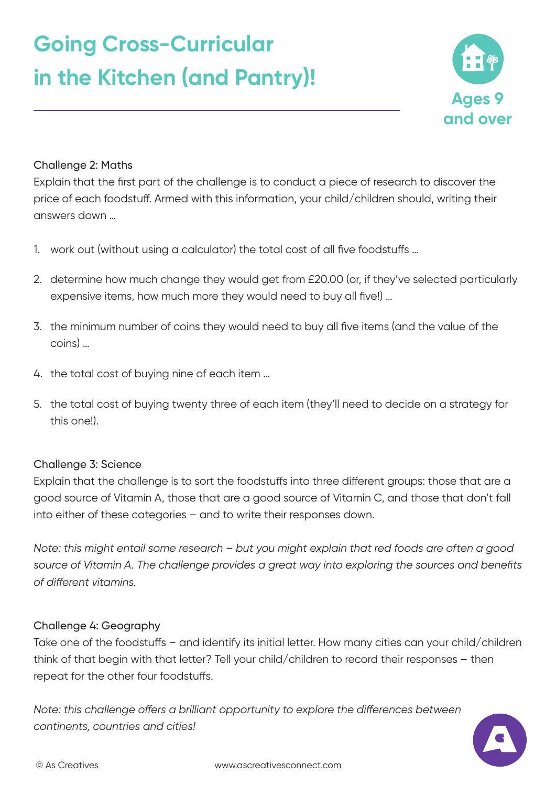

### Challenge 2: Maths

Explain that the first part of the challenge is to conduct a piece of research to discover the price of each foodstuff. Armed with this information, your child/children should, writing their answers down …

- 1. work out (without using a calculator) the total cost of all five foodstuffs …
- 2. determine how much change they would get from £20.00 (or, if they've selected particularly expensive items, how much more they would need to buy all five!) …
- 3. the minimum number of coins they would need to buy all five items (and the value of the coins) …
- 4. the total cost of buying nine of each item …
- 5. the total cost of buying twenty three of each item (they'll need to decide on a strategy for this one!).

### Challenge 3: Science

Explain that the challenge is to sort the foodstuffs into three different groups: those that are a good source of Vitamin A, those that are a good source of Vitamin C, and those that don't fall into either of these categories – and to write their responses down.

*Note: this might entail some research – but you might explain that red foods are often a good source of Vitamin A. The challenge provides a great way into exploring the sources and benefits of different vitamins.*

### Challenge 4: Geography

Take one of the foodstuffs – and identify its initial letter. How many cities can your child/children think of that begin with that letter? Tell your child/children to record their responses – then repeat for the other four foodstuffs.

*Note: this challenge offers a brilliant opportunity to explore the differences between continents, countries and cities!*

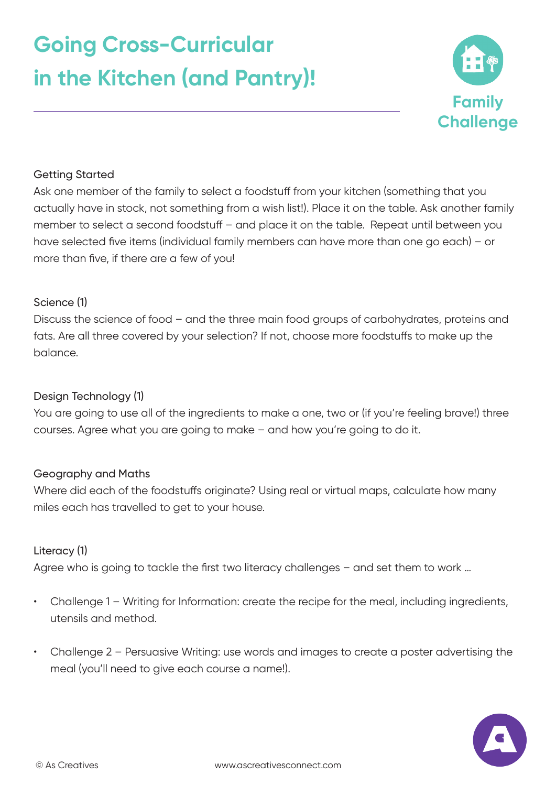

### Getting Started

Ask one member of the family to select a foodstuff from your kitchen (something that you actually have in stock, not something from a wish list!). Place it on the table. Ask another family member to select a second foodstuff – and place it on the table. Repeat until between you have selected five items (individual family members can have more than one go each) – or more than five, if there are a few of you!

### Science (1)

Discuss the science of food – and the three main food groups of carbohydrates, proteins and fats. Are all three covered by your selection? If not, choose more foodstuffs to make up the balance.

#### Design Technology (1)

You are going to use all of the ingredients to make a one, two or (if you're feeling brave!) three courses. Agree what you are going to make – and how you're going to do it.

### Geography and Maths

Where did each of the foodstuffs originate? Using real or virtual maps, calculate how many miles each has travelled to get to your house.

### Literacy (1)

Agree who is going to tackle the first two literacy challenges – and set them to work …

- Challenge 1 Writing for Information: create the recipe for the meal, including ingredients, utensils and method.
- Challenge 2 Persuasive Writing: use words and images to create a poster advertising the meal (you'll need to give each course a name!).